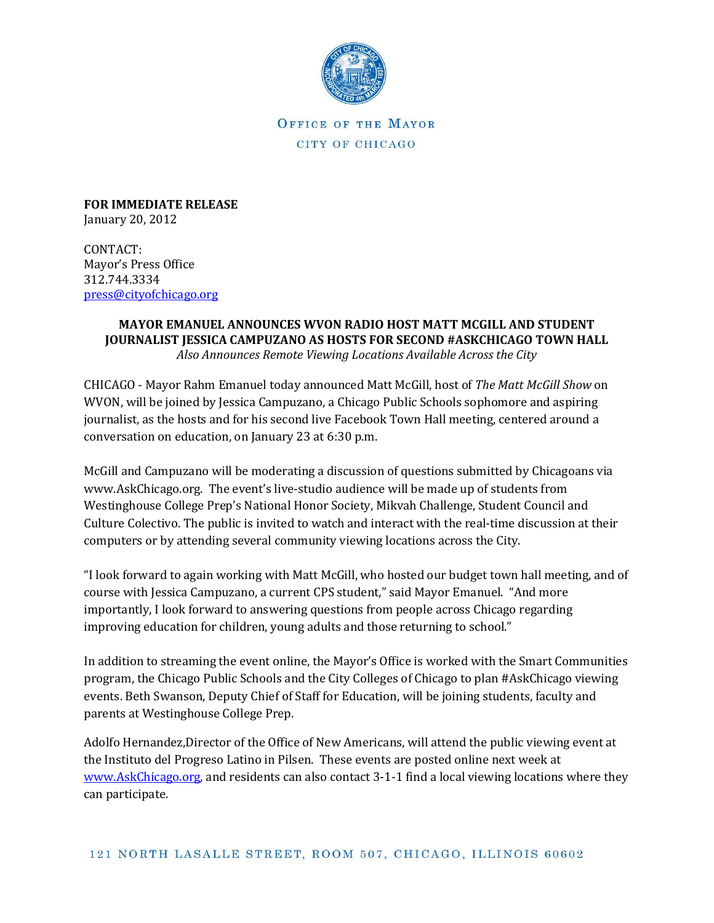

OFFICE OF THE MAYOR CITY OF CHICAGO

**FOR IMMEDIATE RELEASE** January 20, 2012

CONTACT: Mayor's Press Office 312.744.3334 [press@cityofchicago.org](mailto:press@cityofchicago.org)

## **MAYOR EMANUEL ANNOUNCES WVON RADIO HOST MATT MCGILL AND STUDENT JOURNALIST JESSICA CAMPUZANO AS HOSTS FOR SECOND #ASKCHICAGO TOWN HALL** *Also Announces Remote Viewing Locations Available Across the City*

CHICAGO - Mayor Rahm Emanuel today announced Matt McGill, host of *The Matt McGill Show* on WVON, will be joined by Jessica Campuzano, a Chicago Public Schools sophomore and aspiring journalist, as the hosts and for his second live Facebook Town Hall meeting, centered around a conversation on education, on January 23 at 6:30 p.m.

McGill and Campuzano will be moderating a discussion of questions submitted by Chicagoans via www.AskChicago.org. The event's live-studio audience will be made up of students from Westinghouse College Prep's National Honor Society, Mikvah Challenge, Student Council and Culture Colectivo. The public is invited to watch and interact with the real-time discussion at their computers or by attending several community viewing locations across the City.

"I look forward to again working with Matt McGill, who hosted our budget town hall meeting, and of course with Jessica Campuzano, a current CPS student," said Mayor Emanuel. "And more importantly, I look forward to answering questions from people across Chicago regarding improving education for children, young adults and those returning to school."

In addition to streaming the event online, the Mayor's Office is worked with the Smart Communities program, the Chicago Public Schools and the City Colleges of Chicago to plan #AskChicago viewing events. Beth Swanson, Deputy Chief of Staff for Education, will be joining students, faculty and parents at Westinghouse College Prep.

Adolfo Hernandez,Director of the Office of New Americans, will attend the public viewing event at the Instituto del Progreso Latino in Pilsen. These events are posted online next week at [www.AskChicago.org,](http://www.askchicago.org/) and residents can also contact 3-1-1 find a local viewing locations where they can participate.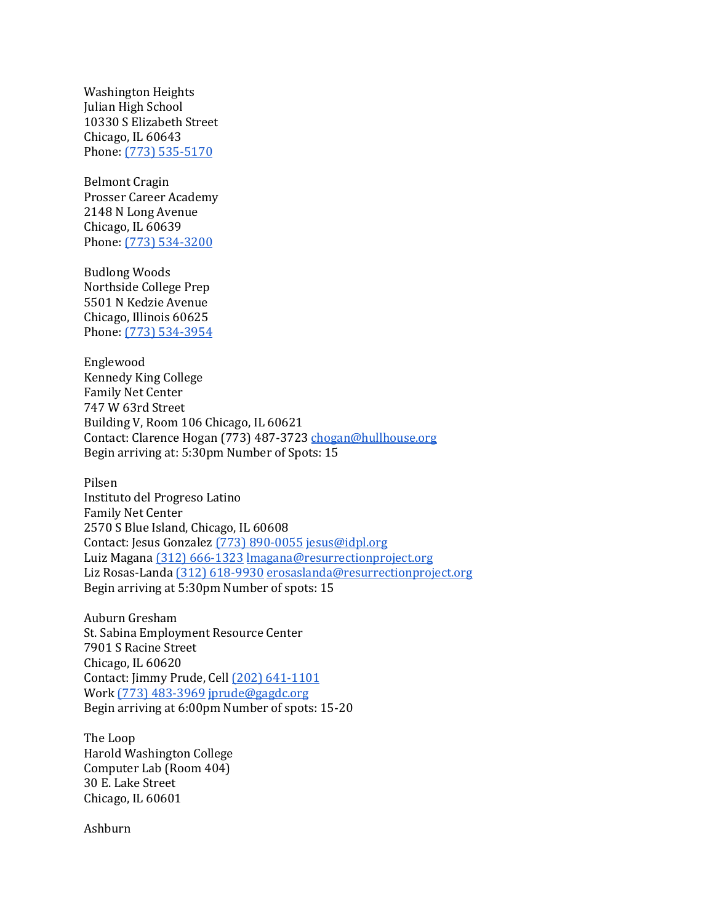Washington Heights Julian High School 10330 S Elizabeth Street Chicago, IL 60643 Phone: [\(773\) 535-5170](tel:%28773%29%20535-5170)

Belmont Cragin Prosser Career Academy 2148 N Long Avenue Chicago, IL 60639 Phone: [\(773\) 534-3200](tel:%28773%29%20534-3200)

Budlong Woods Northside College Prep 5501 N Kedzie Avenue Chicago, Illinois 60625 Phone: [\(773\) 534-3954](tel:%28773%29%20534-3954)

Englewood Kennedy King College Family Net Center 747 W 63rd Street Building V, Room 106 Chicago, IL 60621 Contact: Clarence Hogan (773) 487-3723 [chogan@hullhouse.org](mailto:chogan@hullhouse.org) Begin arriving at: 5:30pm Number of Spots: 15

Pilsen

Instituto del Progreso Latino Family Net Center 2570 S Blue Island, Chicago, IL 60608 Contact: Jesus Gonzalez [\(773\) 890-0055](tel:%28773%29%20890-0055) [jesus@idpl.org](mailto:jesus@idpl.org) Luiz Magana [\(312\) 666-1323](tel:%28312%29%20666-1323) [lmagana@resurrectionproject.org](mailto:lmagana@resurrectionproject.org) Liz Rosas-Landa [\(312\) 618-9930](tel:%28312%29%20618-9930) [erosaslanda@resurrectionproject.org](mailto:erosaslanda@resurrectionproject.org) Begin arriving at 5:30pm Number of spots: 15

Auburn Gresham St. Sabina Employment Resource Center 7901 S Racine Street Chicago, IL 60620 Contact: Jimmy Prude, Cell [\(202\) 641-1101](tel:%28202%29%20641-1101) Work [\(773\) 483-3969](tel:%28773%29%20483-3969) [jprude@gagdc.org](mailto:jprude@gagdc.org) Begin arriving at 6:00pm Number of spots: 15-20

The Loop Harold Washington College Computer Lab (Room 404) 30 E. Lake Street Chicago, IL 60601

Ashburn